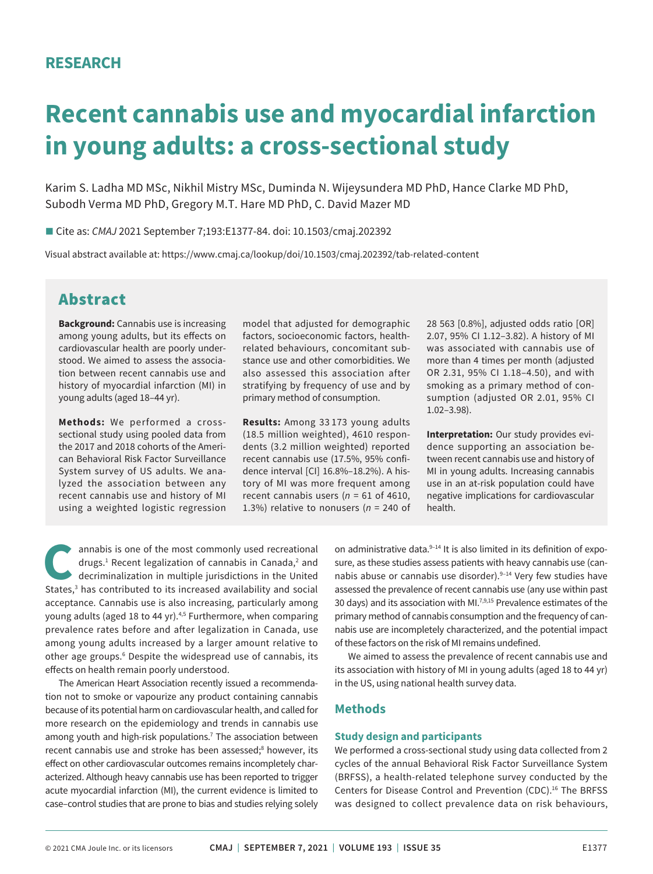# **Recent cannabis use and myocardial infarction in young adults: a cross-sectional study**

Karim S. Ladha MD MSc, Nikhil Mistry MSc, Duminda N. Wijeysundera MD PhD, Hance Clarke MD PhD, Subodh Verma MD PhD, Gregory M.T. Hare MD PhD, C. David Mazer MD

■ Cite as: *CMAJ* 2021 September 7;193:E1377-84. doi: 10.1503/cmaj.202392

Visual abstract available at: https://www.cmaj.ca/lookup/doi/10.1503/cmaj.202392/tab-related-content

# Abstract

**Background:** Cannabis use is increasing among young adults, but its effects on cardiovascular health are poorly understood. We aimed to assess the association between recent cannabis use and history of myocardial infarction (MI) in young adults (aged 18–44 yr).

**Methods:** We performed a crosssectional study using pooled data from the 2017 and 2018 cohorts of the American Behavioral Risk Factor Surveillance System survey of US adults. We analyzed the association between any recent cannabis use and history of MI using a weighted logistic regression model that adjusted for demographic factors, socioeconomic factors, healthrelated behaviours, concomitant substance use and other comorbidities. We also assessed this association after stratifying by frequency of use and by primary method of consumption.

**Results:** Among 33 173 young adults (18.5 million weighted), 4610 respondents (3.2 million weighted) reported recent cannabis use (17.5%, 95% confidence interval [CI] 16.8%–18.2%). A history of MI was more frequent among recent cannabis users (*n* = 61 of 4610, 1.3%) relative to nonusers (*n* = 240 of 28 563 [0.8%], adjusted odds ratio [OR] 2.07, 95% CI 1.12–3.82). A history of MI was associated with cannabis use of more than 4 times per month (adjusted OR 2.31, 95% CI 1.18–4.50), and with smoking as a primary method of consumption (adjusted OR 2.01, 95% CI 1.02–3.98).

**Interpretation:** Our study provides evidence supporting an association between recent cannabis use and history of MI in young adults. Increasing cannabis use in an at-risk population could have negative implications for cardiovascular health.

annabis is one of the most commonly used recreational drugs.<sup>1</sup> Recent legalization of cannabis in Canada,<sup>2</sup> and decriminalization in multiple jurisdictions in the United States,<sup>3</sup> has contributed to its increased availability and social acceptance. Cannabis use is also increasing, particularly among young adults (aged 18 to 44 yr).<sup>4,5</sup> Furthermore, when comparing prevalence rates before and after legalization in Canada, use among young adults increased by a larger amount relative to other age groups.<sup>6</sup> Despite the widespread use of cannabis, its effects on health remain poorly understood.

The American Heart Association recently issued a recommendation not to smoke or vapourize any product containing cannabis because of its potential harm on cardiovascular health, and called for more research on the epidemiology and trends in cannabis use among youth and high-risk populations.<sup>7</sup> The association between recent cannabis use and stroke has been assessed;<sup>8</sup> however, its effect on other cardiovascular outcomes remains incompletely characterized. Although heavy cannabis use has been reported to trigger acute myocardial infarction (MI), the current evidence is limited to case–control studies that are prone to bias and studies relying solely on administrative data.<sup>9-14</sup> It is also limited in its definition of exposure, as these studies assess patients with heavy cannabis use (cannabis abuse or cannabis use disorder).<sup>9-14</sup> Very few studies have assessed the prevalence of recent cannabis use (any use within past 30 days) and its association with MI.<sup>7,9,15</sup> Prevalence estimates of the primary method of cannabis consumption and the frequency of cannabis use are incompletely characterized, and the potential impact of these factors on the risk of MI remains undefined.

We aimed to assess the prevalence of recent cannabis use and its association with history of MI in young adults (aged 18 to 44 yr) in the US, using national health survey data.

### **Methods**

#### **Study design and participants**

We performed a cross-sectional study using data collected from 2 cycles of the annual Behavioral Risk Factor Surveillance System (BRFSS), a health-related telephone survey conducted by the Centers for Disease Control and Prevention (CDC).<sup>16</sup> The BRFSS was designed to collect prevalence data on risk behaviours,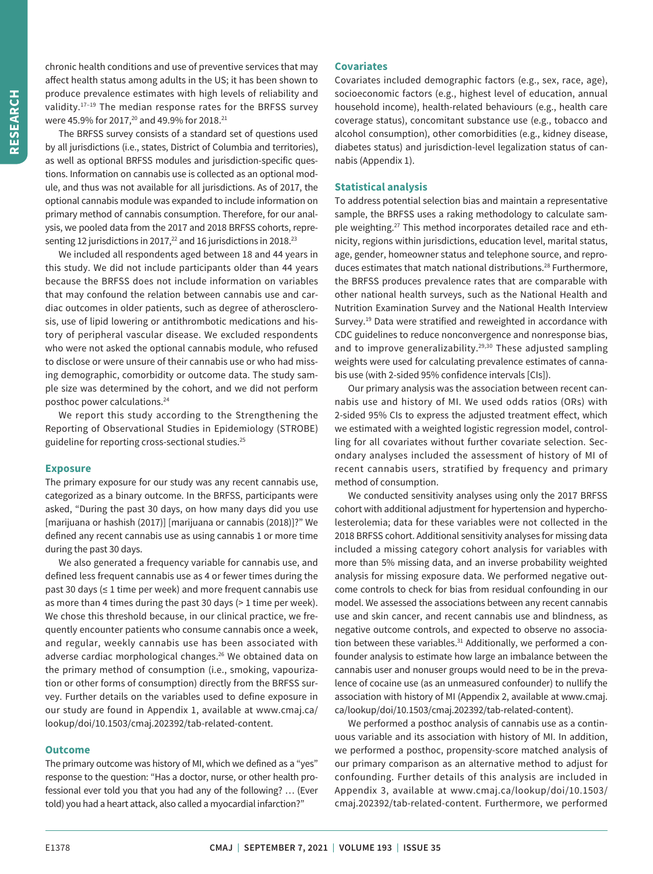chronic health conditions and use of preventive services that may affect health status among adults in the US; it has been shown to produce prevalence estimates with high levels of reliability and validity.17–19 The median response rates for the BRFSS survey were 45.9% for 2017,<sup>20</sup> and 49.9% for 2018.<sup>21</sup>

The BRFSS survey consists of a standard set of questions used by all jurisdictions (i.e., states, District of Columbia and territories), as well as optional BRFSS modules and jurisdiction-specific questions. Information on cannabis use is collected as an optional module, and thus was not available for all jurisdictions. As of 2017, the optional cannabis module was expanded to include information on primary method of cannabis consumption. Therefore, for our analysis, we pooled data from the 2017 and 2018 BRFSS cohorts, representing 12 jurisdictions in 2017, $^{22}$  and 16 jurisdictions in 2018. $^{23}$ 

We included all respondents aged between 18 and 44 years in this study. We did not include participants older than 44 years because the BRFSS does not include information on variables that may confound the relation between cannabis use and cardiac outcomes in older patients, such as degree of atherosclerosis, use of lipid lowering or antithrombotic medications and history of peripheral vascular disease. We excluded respondents who were not asked the optional cannabis module, who refused to disclose or were unsure of their cannabis use or who had missing demographic, comorbidity or outcome data. The study sample size was determined by the cohort, and we did not perform posthoc power calculations.24

We report this study according to the Strengthening the Reporting of Observational Studies in Epidemiology (STROBE) guideline for reporting cross-sectional studies.<sup>25</sup>

#### **Exposure**

The primary exposure for our study was any recent cannabis use, categorized as a binary outcome. In the BRFSS, participants were asked, "During the past 30 days, on how many days did you use [marijuana or hashish (2017)] [marijuana or cannabis (2018)]?" We defined any recent cannabis use as using cannabis 1 or more time during the past 30 days.

We also generated a frequency variable for cannabis use, and defined less frequent cannabis use as 4 or fewer times during the past 30 days (≤ 1 time per week) and more frequent cannabis use as more than 4 times during the past 30 days (> 1 time per week). We chose this threshold because, in our clinical practice, we frequently encounter patients who consume cannabis once a week, and regular, weekly cannabis use has been associated with adverse cardiac morphological changes.<sup>26</sup> We obtained data on the primary method of consumption (i.e., smoking, vapourization or other forms of consumption) directly from the BRFSS survey. Further details on the variables used to define exposure in our study are found in Appendix 1, available at www.cmaj.ca/ lookup/doi/10.1503/cmaj.202392/tab-related-content.

#### **Outcome**

The primary outcome was history of MI, which we defined as a "yes" response to the question: "Has a doctor, nurse, or other health professional ever told you that you had any of the following? … (Ever told) you had a heart attack, also called a myocardial infarction?"

#### **Covariates**

Covariates included demographic factors (e.g., sex, race, age), socioeconomic factors (e.g., highest level of education, annual household income), health-related behaviours (e.g., health care coverage status), concomitant substance use (e.g., tobacco and alcohol consumption), other comorbidities (e.g., kidney disease, diabetes status) and jurisdiction-level legalization status of cannabis (Appendix 1).

#### **Statistical analysis**

To address potential selection bias and maintain a representative sample, the BRFSS uses a raking methodology to calculate sample weighting.27 This method incorporates detailed race and ethnicity, regions within jurisdictions, education level, marital status, age, gender, homeowner status and telephone source, and reproduces estimates that match national distributions.<sup>28</sup> Furthermore, the BRFSS produces prevalence rates that are comparable with other national health surveys, such as the National Health and Nutrition Examination Survey and the National Health Interview Survey.<sup>19</sup> Data were stratified and reweighted in accordance with CDC guidelines to reduce nonconvergence and nonresponse bias, and to improve generalizability.<sup>29,30</sup> These adjusted sampling weights were used for calculating prevalence estimates of cannabis use (with 2-sided 95% confidence intervals [CIs]).

Our primary analysis was the association between recent cannabis use and history of MI. We used odds ratios (ORs) with 2-sided 95% CIs to express the adjusted treatment effect, which we estimated with a weighted logistic regression model, controlling for all covariates without further covariate selection. Secondary analyses included the assessment of history of MI of recent cannabis users, stratified by frequency and primary method of consumption.

We conducted sensitivity analyses using only the 2017 BRFSS cohort with additional adjustment for hypertension and hypercholesterolemia; data for these variables were not collected in the 2018 BRFSS cohort. Additional sensitivity analyses for missing data included a missing category cohort analysis for variables with more than 5% missing data, and an inverse probability weighted analysis for missing exposure data. We performed negative outcome controls to check for bias from residual confounding in our model. We assessed the associations between any recent cannabis use and skin cancer, and recent cannabis use and blindness, as negative outcome controls, and expected to observe no association between these variables.<sup>31</sup> Additionally, we performed a confounder analysis to estimate how large an imbalance between the cannabis user and nonuser groups would need to be in the prevalence of cocaine use (as an unmeasured confounder) to nullify the association with history of MI (Appendix 2, available at www.cmaj. ca/lookup/doi/10.1503/cmaj.202392/tab-related-content).

We performed a posthoc analysis of cannabis use as a continuous variable and its association with history of MI. In addition, we performed a posthoc, propensity-score matched analysis of our primary comparison as an alternative method to adjust for confounding. Further details of this analysis are included in Appendix 3, available at www.cmaj.ca/lookup/doi/10.1503/ cmaj.202392/tab-related-content. Furthermore, we performed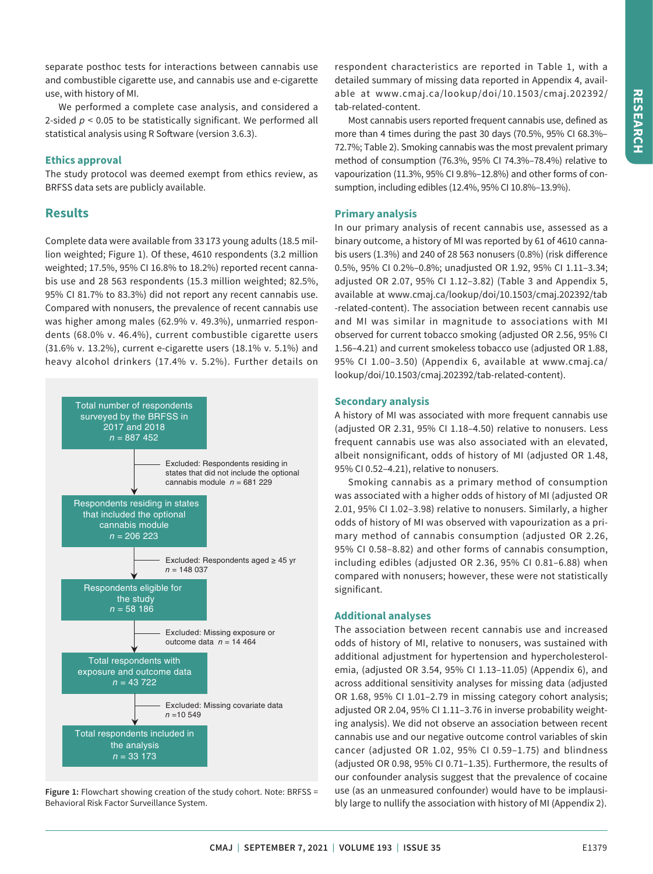separate posthoc tests for interactions between cannabis use and combustible cigarette use, and cannabis use and e-cigarette use, with history of MI.

We performed a complete case analysis, and considered a 2-sided *p* < 0.05 to be statistically significant. We performed all statistical analysis using R Software (version 3.6.3).

#### **Ethics approval**

The study protocol was deemed exempt from ethics review, as BRFSS data sets are publicly available.

## **Results**

Complete data were available from 33 173 young adults (18.5 million weighted; Figure 1). Of these, 4610 respondents (3.2 million weighted; 17.5%, 95% CI 16.8% to 18.2%) reported recent cannabis use and 28 563 respondents (15.3 million weighted; 82.5%, 95% CI 81.7% to 83.3%) did not report any recent cannabis use. Compared with nonusers, the prevalence of recent cannabis use was higher among males (62.9% v. 49.3%), unmarried respondents (68.0% v. 46.4%), current combustible cigarette users (31.6% v. 13.2%), current e-cigarette users (18.1% v. 5.1%) and heavy alcohol drinkers (17.4% v. 5.2%). Further details on



**Figure 1:** Flowchart showing creation of the study cohort. Note: BRFSS = Behavioral Risk Factor Surveillance System.

respondent characteristics are reported in Table 1, with a detailed summary of missing data reported in Appendix 4, available at www.cmaj.ca/lookup/doi/10.1503/cmaj.202392/ tab-related-content.

Most cannabis users reported frequent cannabis use, defined as more than 4 times during the past 30 days (70.5%, 95% CI 68.3%– 72.7%; Table 2). Smoking cannabis was the most prevalent primary method of consumption (76.3%, 95% CI 74.3%–78.4%) relative to vapourization (11.3%, 95% CI 9.8%–12.8%) and other forms of consumption, including edibles (12.4%, 95% CI 10.8%–13.9%).

#### **Primary analysis**

In our primary analysis of recent cannabis use, assessed as a binary outcome, a history of MI was reported by 61 of 4610 cannabis users (1.3%) and 240 of 28 563 nonusers (0.8%) (risk difference 0.5%, 95% CI 0.2%–0.8%; unadjusted OR 1.92, 95% CI 1.11–3.34; adjusted OR 2.07, 95% CI 1.12–3.82) (Table 3 and Appendix 5, available at www.cmaj.ca/lookup/doi/10.1503/cmaj.202392/tab -related-content). The association between recent cannabis use and MI was similar in magnitude to associations with MI observed for current tobacco smoking (adjusted OR 2.56, 95% CI 1.56–4.21) and current smokeless tobacco use (adjusted OR 1.88, 95% CI 1.00–3.50) (Appendix 6, available at www.cmaj.ca/ lookup/doi/10.1503/cmaj.202392/tab-related-content).

#### **Secondary analysis**

A history of MI was associated with more frequent cannabis use (adjusted OR 2.31, 95% CI 1.18–4.50) relative to nonusers. Less frequent cannabis use was also associated with an elevated, albeit nonsignificant, odds of history of MI (adjusted OR 1.48, 95% CI 0.52–4.21), relative to nonusers.

Smoking cannabis as a primary method of consumption was associated with a higher odds of history of MI (adjusted OR 2.01, 95% CI 1.02–3.98) relative to nonusers. Similarly, a higher odds of history of MI was observed with vapourization as a primary method of cannabis consumption (adjusted OR 2.26, 95% CI 0.58–8.82) and other forms of cannabis consumption, including edibles (adjusted OR 2.36, 95% CI 0.81–6.88) when compared with nonusers; however, these were not statistically significant.

#### **Additional analyses**

The association between recent cannabis use and increased odds of history of MI, relative to nonusers, was sustained with additional adjustment for hypertension and hypercholesterolemia, (adjusted OR 3.54, 95% CI 1.13–11.05) (Appendix 6), and across additional sensitivity analyses for missing data (adjusted OR 1.68, 95% CI 1.01–2.79 in missing category cohort analysis; adjusted OR 2.04, 95% CI 1.11–3.76 in inverse probability weighting analysis). We did not observe an association between recent cannabis use and our negative outcome control variables of skin cancer (adjusted OR 1.02, 95% CI 0.59–1.75) and blindness (adjusted OR 0.98, 95% CI 0.71–1.35). Furthermore, the results of our confounder analysis suggest that the prevalence of cocaine use (as an unmeasured confounder) would have to be implausibly large to nullify the association with history of MI (Appendix 2).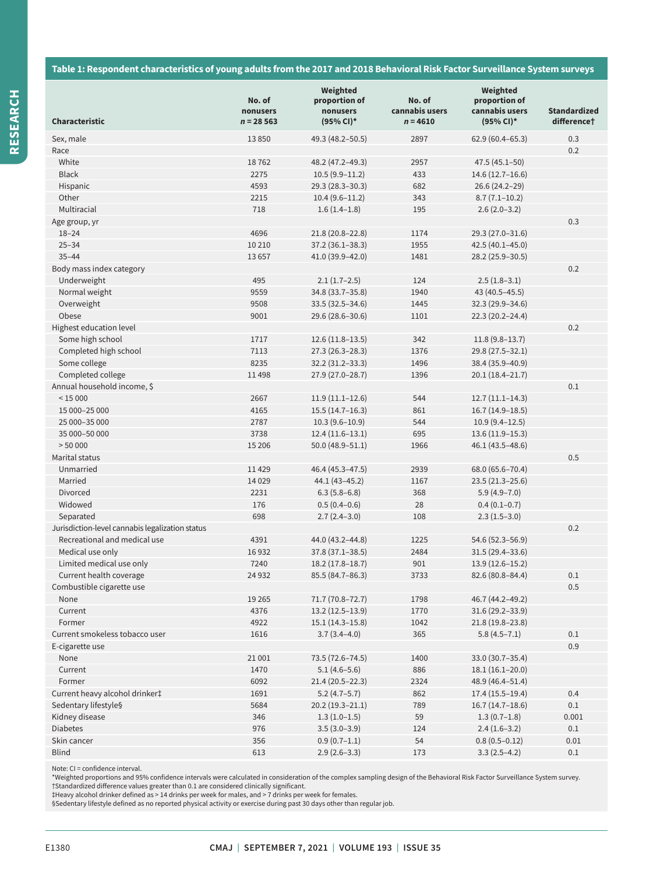#### **Table 1: Respondent characteristics of young adults from the 2017 and 2018 Behavioral Risk Factor Surveillance System surveys**

|                                                 | No. of<br>nonusers | Weighted<br>proportion of<br>nonusers | No. of<br>cannabis users | Weighted<br>proportion of<br>cannabis users | <b>Standardized</b>     |
|-------------------------------------------------|--------------------|---------------------------------------|--------------------------|---------------------------------------------|-------------------------|
| Characteristic                                  | $n = 28563$        | $(95\% \text{ Cl})^*$                 | $n = 4610$               | (95% CI)*                                   | difference <sup>+</sup> |
| Sex, male                                       | 13850              | 49.3 (48.2-50.5)                      | 2897                     | $62.9(60.4 - 65.3)$                         | 0.3                     |
| Race                                            |                    |                                       |                          |                                             | 0.2                     |
| White                                           | 18762              | 48.2 (47.2-49.3)                      | 2957                     | $47.5(45.1 - 50)$                           |                         |
| <b>Black</b>                                    | 2275               | $10.5(9.9-11.2)$                      | 433                      | 14.6 (12.7-16.6)                            |                         |
| Hispanic                                        | 4593               | 29.3 (28.3-30.3)                      | 682                      | 26.6 (24.2-29)                              |                         |
| Other                                           | 2215               | $10.4(9.6-11.2)$                      | 343                      | $8.7(7.1-10.2)$                             |                         |
| Multiracial                                     | 718                | $1.6(1.4-1.8)$                        | 195                      | $2.6(2.0-3.2)$                              |                         |
| Age group, yr                                   |                    |                                       |                          |                                             | 0.3                     |
| $18 - 24$                                       | 4696               | 21.8 (20.8-22.8)                      | 1174                     | 29.3 (27.0-31.6)                            |                         |
| $25 - 34$                                       | 10 210             | 37.2 (36.1-38.3)                      | 1955                     | 42.5 (40.1-45.0)                            |                         |
| $35 - 44$                                       | 13657              | 41.0 (39.9-42.0)                      | 1481                     | 28.2 (25.9-30.5)                            |                         |
| Body mass index category                        |                    |                                       |                          |                                             | 0.2                     |
| Underweight                                     | 495                | $2.1(1.7-2.5)$                        | 124                      | $2.5(1.8-3.1)$                              |                         |
| Normal weight                                   | 9559               | 34.8 (33.7-35.8)                      | 1940                     | 43 (40.5-45.5)                              |                         |
| Overweight                                      | 9508               | $33.5(32.5 - 34.6)$                   | 1445                     | 32.3 (29.9-34.6)                            |                         |
| Obese                                           | 9001               | 29.6 (28.6-30.6)                      | 1101                     | $22.3(20.2 - 24.4)$                         |                         |
| Highest education level                         |                    |                                       |                          |                                             | 0.2                     |
| Some high school                                | 1717               | $12.6(11.8-13.5)$                     | 342                      | $11.8(9.8-13.7)$                            |                         |
| Completed high school                           | 7113               | $27.3(26.3 - 28.3)$                   | 1376                     | 29.8 (27.5-32.1)                            |                         |
| Some college                                    | 8235               | 32.2 (31.2-33.3)                      | 1496                     | 38.4 (35.9-40.9)                            |                         |
| Completed college                               | 11498              | 27.9 (27.0-28.7)                      | 1396                     | $20.1(18.4 - 21.7)$                         |                         |
| Annual household income, \$                     |                    |                                       |                          |                                             | $0.1\,$                 |
| < 15000                                         | 2667               | $11.9(11.1-12.6)$                     | 544                      | $12.7(11.1-14.3)$                           |                         |
| 15 000-25 000                                   | 4165               | $15.5(14.7-16.3)$                     | 861                      | $16.7(14.9-18.5)$                           |                         |
| 25 000-35 000                                   | 2787               | $10.3(9.6 - 10.9)$                    | 544                      | $10.9(9.4-12.5)$                            |                         |
| 35 000-50 000                                   | 3738               | $12.4(11.6-13.1)$                     | 695                      | $13.6(11.9-15.3)$                           |                         |
| > 50000                                         | 15 20 6            | $50.0(48.9 - 51.1)$                   | 1966                     | 46.1 (43.5-48.6)                            |                         |
| Marital status                                  |                    |                                       |                          |                                             | 0.5                     |
| Unmarried                                       | 11429              | 46.4 (45.3-47.5)                      | 2939                     | 68.0 (65.6-70.4)                            |                         |
| Married                                         | 14 0 29            | 44.1 (43-45.2)                        | 1167                     | 23.5 (21.3-25.6)                            |                         |
| Divorced                                        | 2231               | $6.3(5.8-6.8)$                        | 368                      | $5.9(4.9 - 7.0)$                            |                         |
| Widowed                                         | 176                | $0.5(0.4-0.6)$                        | 28                       | $0.4(0.1-0.7)$                              |                         |
| Separated                                       | 698                | $2.7(2.4-3.0)$                        | 108                      | $2.3(1.5-3.0)$                              |                         |
| Jurisdiction-level cannabis legalization status |                    |                                       |                          |                                             | 0.2                     |
| Recreational and medical use                    | 4391               | 44.0 (43.2-44.8)                      | 1225                     | 54.6 (52.3-56.9)                            |                         |
| Medical use only                                | 16932              | 37.8 (37.1-38.5)                      | 2484                     | 31.5 (29.4-33.6)                            |                         |
| Limited medical use only                        | 7240               | $18.2(17.8 - 18.7)$                   | 901                      | $13.9(12.6 - 15.2)$                         |                         |
| Current health coverage                         | 24 9 32            | 85.5 (84.7-86.3)                      | 3733                     | 82.6 (80.8-84.4)                            | 0.1                     |
| Combustible cigarette use                       |                    |                                       |                          |                                             | 0.5                     |
| None                                            | 19 2 65            | 71.7 (70.8-72.7)                      | 1798                     | 46.7 (44.2-49.2)                            |                         |
| Current                                         | 4376               | $13.2(12.5-13.9)$                     | 1770                     | 31.6 (29.2-33.9)                            |                         |
| Former                                          | 4922               | $15.1(14.3-15.8)$                     | 1042                     | 21.8 (19.8-23.8)                            |                         |
| Current smokeless tobacco user                  | 1616               | $3.7(3.4-4.0)$                        | 365                      | $5.8(4.5-7.1)$                              | $0.1\,$                 |
| E-cigarette use                                 |                    |                                       |                          |                                             | 0.9                     |
| None                                            | 21 001             | 73.5 (72.6-74.5)                      | 1400                     | 33.0 (30.7-35.4)                            |                         |
| Current                                         | 1470               | $5.1(4.6-5.6)$                        | 886                      | $18.1(16.1-20.0)$                           |                         |
| Former                                          | 6092               | $21.4(20.5-22.3)$                     | 2324                     | 48.9 (46.4-51.4)                            |                         |
| Current heavy alcohol drinker‡                  | 1691               | $5.2(4.7-5.7)$                        | 862                      | $17.4(15.5-19.4)$                           | 0.4                     |
| Sedentary lifestyle§                            | 5684               | $20.2(19.3 - 21.1)$                   | 789                      | $16.7(14.7-18.6)$                           | 0.1                     |
| Kidney disease                                  | 346                | $1.3(1.0-1.5)$                        | 59                       | $1.3(0.7-1.8)$                              | 0.001                   |
| <b>Diabetes</b>                                 | 976                | $3.5(3.0-3.9)$                        | 124                      | $2.4(1.6-3.2)$                              | 0.1                     |
| Skin cancer                                     | 356                | $0.9(0.7-1.1)$                        | 54                       | $0.8(0.5 - 0.12)$                           | 0.01                    |
| <b>Blind</b>                                    | 613                | $2.9(2.6-3.3)$                        | 173                      | $3.3(2.5-4.2)$                              | 0.1                     |
|                                                 |                    |                                       |                          |                                             |                         |

Note: CI = confidence interval.<br>\*Weighted proportions and 95% confidence intervals were calculated in consideration of the complex sampling design of the Behavioral Risk Factor Surveillance System survey. †Standardized difference values greater than 0.1 are considered clinically significant.

‡Heavy alcohol drinker defined as > 14 drinks per week for males, and > 7 drinks per week for females.

§Sedentary lifestyle defined as no reported physical activity or exercise during past 30 days other than regular job.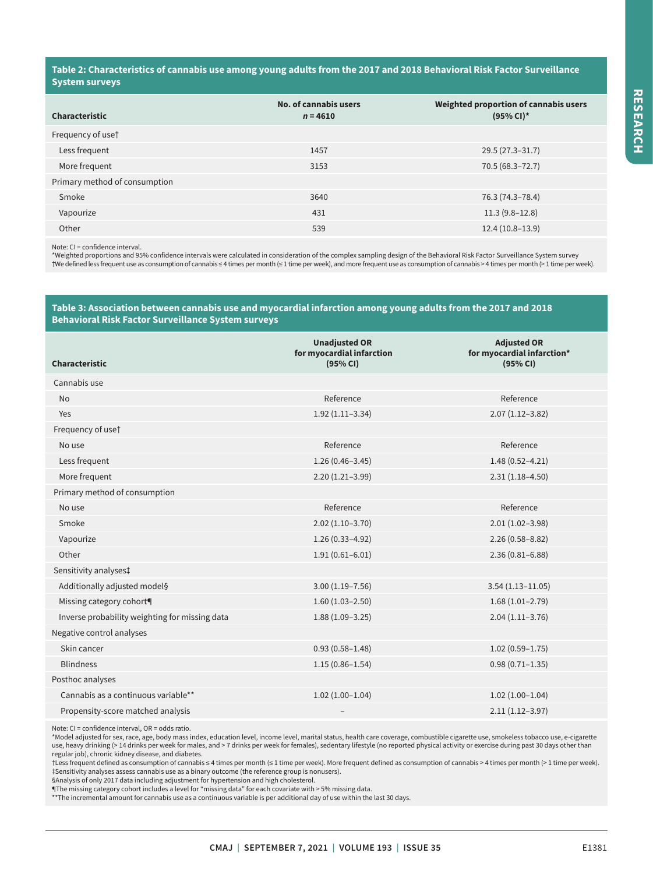#### **Table 2: Characteristics of cannabis use among young adults from the 2017 and 2018 Behavioral Risk Factor Surveillance System surveys**

| <b>Characteristic</b>         | No. of cannabis users<br>$n = 4610$ | Weighted proportion of cannabis users<br>$(95% CI)^*$ |
|-------------------------------|-------------------------------------|-------------------------------------------------------|
| Frequency of use <sup>†</sup> |                                     |                                                       |
| Less frequent                 | 1457                                | $29.5(27.3 - 31.7)$                                   |
| More frequent                 | 3153                                | $70.5(68.3 - 72.7)$                                   |
| Primary method of consumption |                                     |                                                       |
| Smoke                         | 3640                                | 76.3 (74.3-78.4)                                      |
| Vapourize                     | 431                                 | $11.3(9.8-12.8)$                                      |
| Other                         | 539                                 | $12.4(10.8-13.9)$                                     |

Note: CI = confidence interval.

\*Weighted proportions and 95% confidence intervals were calculated in consideration of the complex sampling design of the Behavioral Risk Factor Surveillance System survey †We defined less frequent use as consumption of cannabis ≤ 4 times per month (≤ 1 time per week), and more frequent use as consumption of cannabis > 4 times per month (> 1 time per week).

#### **Table 3: Association between cannabis use and myocardial infarction among young adults from the 2017 and 2018 Behavioral Risk Factor Surveillance System surveys**

| Characteristic                                 | <b>Unadjusted OR</b><br>for myocardial infarction<br>(95% CI) | <b>Adjusted OR</b><br>for myocardial infarction*<br>(95% CI) |
|------------------------------------------------|---------------------------------------------------------------|--------------------------------------------------------------|
| Cannabis use                                   |                                                               |                                                              |
| <b>No</b>                                      | Reference                                                     | Reference                                                    |
| Yes                                            | $1.92(1.11-3.34)$                                             | $2.07(1.12 - 3.82)$                                          |
| Frequency of use <sup>†</sup>                  |                                                               |                                                              |
| No use                                         | Reference                                                     | Reference                                                    |
| Less frequent                                  | $1.26(0.46 - 3.45)$                                           | $1.48(0.52 - 4.21)$                                          |
| More frequent                                  | $2.20(1.21-3.99)$                                             | $2.31(1.18 - 4.50)$                                          |
| Primary method of consumption                  |                                                               |                                                              |
| No use                                         | Reference                                                     | Reference                                                    |
| Smoke                                          | $2.02(1.10-3.70)$                                             | $2.01(1.02 - 3.98)$                                          |
| Vapourize                                      | $1.26(0.33 - 4.92)$                                           | $2.26(0.58 - 8.82)$                                          |
| Other                                          | $1.91(0.61 - 6.01)$                                           | $2.36(0.81 - 6.88)$                                          |
| Sensitivity analyses‡                          |                                                               |                                                              |
| Additionally adjusted model§                   | $3.00(1.19 - 7.56)$                                           | $3.54(1.13 - 11.05)$                                         |
| Missing category cohort <sup>q</sup>           | $1.60(1.03 - 2.50)$                                           | $1.68(1.01-2.79)$                                            |
| Inverse probability weighting for missing data | $1.88(1.09-3.25)$                                             | $2.04(1.11-3.76)$                                            |
| Negative control analyses                      |                                                               |                                                              |
| Skin cancer                                    | $0.93(0.58 - 1.48)$                                           | $1.02(0.59 - 1.75)$                                          |
| <b>Blindness</b>                               | $1.15(0.86 - 1.54)$                                           | $0.98(0.71 - 1.35)$                                          |
| Posthoc analyses                               |                                                               |                                                              |
| Cannabis as a continuous variable**            | $1.02(1.00-1.04)$                                             | $1.02(1.00-1.04)$                                            |
| Propensity-score matched analysis              |                                                               | $2.11(1.12-3.97)$                                            |

Note: CI = confidence interval, OR = odds ratio.

\*Model adjusted for sex, race, age, body mass index, education level, income level, marital status, health care coverage, combustible cigarette use, smokeless tobacco use, e-cigarette use, heavy drinking (> 14 drinks per week for males, and > 7 drinks per week for females), sedentary lifestyle (no reported physical activity or exercise during past 30 days other than regular job), chronic kidney disease, and diabetes.

†Less frequent defined as consumption of cannabis ≤ 4 times per month (≤ 1 time per week). More frequent defined as consumption of cannabis > 4 times per month (> 1 time per week). ‡Sensitivity analyses assess cannabis use as a binary outcome (the reference group is nonusers).

§Analysis of only 2017 data including adjustment for hypertension and high cholesterol.

¶The missing category cohort includes a level for "missing data" for each covariate with > 5% missing data.<br>\*\*The incremental amount for cannabis use as a continuous variable is per additional day of use within the last 30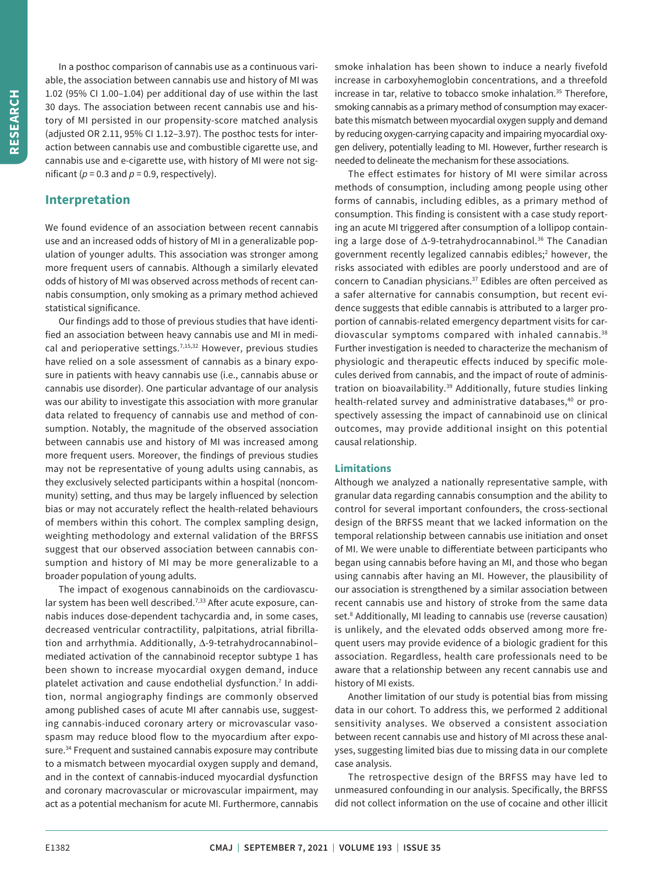In a posthoc comparison of cannabis use as a continuous variable, the association between cannabis use and history of MI was 1.02 (95% CI 1.00–1.04) per additional day of use within the last 30 days. The association between recent cannabis use and history of MI persisted in our propensity-score matched analysis (adjusted OR 2.11, 95% CI 1.12–3.97). The posthoc tests for interaction between cannabis use and combustible cigarette use, and cannabis use and e-cigarette use, with history of MI were not significant ( $p = 0.3$  and  $p = 0.9$ , respectively).

# **Interpretation**

We found evidence of an association between recent cannabis use and an increased odds of history of MI in a generalizable population of younger adults. This association was stronger among more frequent users of cannabis. Although a similarly elevated odds of history of MI was observed across methods of recent cannabis consumption, only smoking as a primary method achieved statistical significance.

Our findings add to those of previous studies that have identified an association between heavy cannabis use and MI in medical and perioperative settings.<sup>7,15,32</sup> However, previous studies have relied on a sole assessment of cannabis as a binary exposure in patients with heavy cannabis use (i.e., cannabis abuse or cannabis use disorder). One particular advantage of our analysis was our ability to investigate this association with more granular data related to frequency of cannabis use and method of consumption. Notably, the magnitude of the observed association between cannabis use and history of MI was increased among more frequent users. Moreover, the findings of previous studies may not be representative of young adults using cannabis, as they exclusively selected participants within a hospital (noncommunity) setting, and thus may be largely influenced by selection bias or may not accurately reflect the health-related behaviours of members within this cohort. The complex sampling design, weighting methodology and external validation of the BRFSS suggest that our observed association between cannabis consumption and history of MI may be more generalizable to a broader population of young adults.

The impact of exogenous cannabinoids on the cardiovascular system has been well described.<sup>7,33</sup> After acute exposure, cannabis induces dose-dependent tachycardia and, in some cases, decreased ventricular contractility, palpitations, atrial fibrillation and arrhythmia. Additionally, Δ-9-tetrahydrocannabinol– mediated activation of the cannabinoid receptor subtype 1 has been shown to increase myocardial oxygen demand, induce platelet activation and cause endothelial dysfunction.<sup>7</sup> In addition, normal angiography findings are commonly observed among published cases of acute MI after cannabis use, suggesting cannabis-induced coronary artery or microvascular vasospasm may reduce blood flow to the myocardium after exposure.<sup>34</sup> Frequent and sustained cannabis exposure may contribute to a mismatch between myocardial oxygen supply and demand, and in the context of cannabis-induced myocardial dysfunction and coronary macrovascular or microvascular impairment, may act as a potential mechanism for acute MI. Furthermore, cannabis smoke inhalation has been shown to induce a nearly fivefold increase in carboxyhemoglobin concentrations, and a threefold increase in tar, relative to tobacco smoke inhalation.<sup>35</sup> Therefore, smoking cannabis as a primary method of consumption may exacerbate this mismatch between myocardial oxygen supply and demand by reducing oxygen-carrying capacity and impairing myocardial oxygen delivery, potentially leading to MI. However, further research is needed to delineate the mechanism for these associations.

The effect estimates for history of MI were similar across methods of consumption, including among people using other forms of cannabis, including edibles, as a primary method of consumption. This finding is consistent with a case study reporting an acute MI triggered after consumption of a lollipop containing a large dose of Δ-9-tetrahydrocannabinol.36 The Canadian government recently legalized cannabis edibles;<sup>2</sup> however, the risks associated with edibles are poorly understood and are of concern to Canadian physicians.<sup>37</sup> Edibles are often perceived as a safer alternative for cannabis consumption, but recent evidence suggests that edible cannabis is attributed to a larger proportion of cannabis-related emergency department visits for cardiovascular symptoms compared with inhaled cannabis.<sup>38</sup> Further investigation is needed to characterize the mechanism of physiologic and therapeutic effects induced by specific molecules derived from cannabis, and the impact of route of administration on bioavailability.<sup>39</sup> Additionally, future studies linking health-related survey and administrative databases,<sup>40</sup> or prospectively assessing the impact of cannabinoid use on clinical outcomes, may provide additional insight on this potential causal relationship.

#### **Limitations**

Although we analyzed a nationally representative sample, with granular data regarding cannabis consumption and the ability to control for several important confounders, the cross-sectional design of the BRFSS meant that we lacked information on the temporal relationship between cannabis use initiation and onset of MI. We were unable to differentiate between participants who began using cannabis before having an MI, and those who began using cannabis after having an MI. However, the plausibility of our association is strengthened by a similar association between recent cannabis use and history of stroke from the same data set.<sup>8</sup> Additionally, MI leading to cannabis use (reverse causation) is unlikely, and the elevated odds observed among more frequent users may provide evidence of a biologic gradient for this association. Regardless, health care professionals need to be aware that a relationship between any recent cannabis use and history of MI exists.

Another limitation of our study is potential bias from missing data in our cohort. To address this, we performed 2 additional sensitivity analyses. We observed a consistent association between recent cannabis use and history of MI across these analyses, suggesting limited bias due to missing data in our complete case analysis.

The retrospective design of the BRFSS may have led to unmeasured confounding in our analysis. Specifically, the BRFSS did not collect information on the use of cocaine and other illicit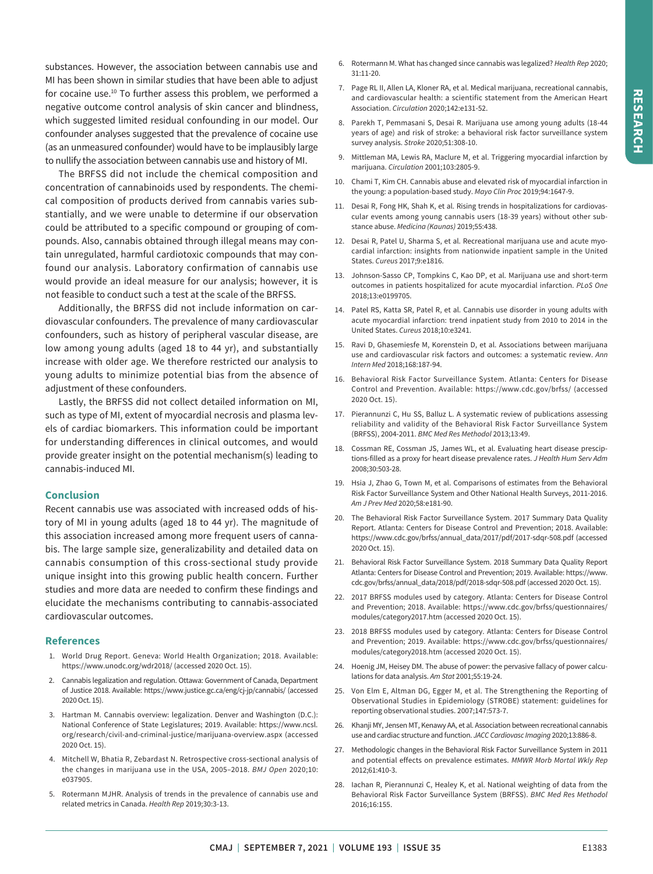substances. However, the association between cannabis use and MI has been shown in similar studies that have been able to adjust for cocaine use.10 To further assess this problem, we performed a negative outcome control analysis of skin cancer and blindness, which suggested limited residual confounding in our model. Our confounder analyses suggested that the prevalence of cocaine use (as an unmeasured confounder) would have to be implausibly large to nullify the association between cannabis use and history of MI.

The BRFSS did not include the chemical composition and concentration of cannabinoids used by respondents. The chemical composition of products derived from cannabis varies substantially, and we were unable to determine if our observation could be attributed to a specific compound or grouping of compounds. Also, cannabis obtained through illegal means may contain unregulated, harmful cardiotoxic compounds that may confound our analysis. Laboratory confirmation of cannabis use would provide an ideal measure for our analysis; however, it is not feasible to conduct such a test at the scale of the BRFSS.

Additionally, the BRFSS did not include information on cardiovascular confounders. The prevalence of many cardiovascular confounders, such as history of peripheral vascular disease, are low among young adults (aged 18 to 44 yr), and substantially increase with older age. We therefore restricted our analysis to young adults to minimize potential bias from the absence of adjustment of these confounders.

Lastly, the BRFSS did not collect detailed information on MI, such as type of MI, extent of myocardial necrosis and plasma levels of cardiac biomarkers. This information could be important for understanding differences in clinical outcomes, and would provide greater insight on the potential mechanism(s) leading to cannabis-induced MI.

#### **Conclusion**

Recent cannabis use was associated with increased odds of history of MI in young adults (aged 18 to 44 yr). The magnitude of this association increased among more frequent users of cannabis. The large sample size, generalizability and detailed data on cannabis consumption of this cross-sectional study provide unique insight into this growing public health concern. Further studies and more data are needed to confirm these findings and elucidate the mechanisms contributing to cannabis-associated cardiovascular outcomes.

#### **References**

- 1. World Drug Report. Geneva: World Health Organization; 2018. Available: https://www.unodc.org/wdr2018/ (accessed 2020 Oct. 15).
- 2. Cannabis legalization and regulation. Ottawa: Government of Canada, Department of Justice 2018. Available: https://www.justice.gc.ca/eng/cj-jp/cannabis/ (accessed 2020 Oct. 15).
- 3. Hartman M. Cannabis overview: legalization. Denver and Washington (D.C.): National Conference of State Legislatures; 2019. Available: https://www.ncsl. org/research/civil-and-criminal-justice/marijuana-overview.aspx (accessed 2020 Oct. 15).
- 4. Mitchell W, Bhatia R, Zebardast N. Retrospective cross-sectional analysis of the changes in marijuana use in the USA, 2005–2018. *BMJ Open* 2020;10: e037905.
- 5. Rotermann MJHR. Analysis of trends in the prevalence of cannabis use and related metrics in Canada. *Health Rep* 2019;30:3-13.
- 6. Rotermann M. What has changed since cannabis was legalized? *Health Rep* 2020; 31:11-20.
- 7. Page RL II, Allen LA, Kloner RA, et al. Medical marijuana, recreational cannabis, and cardiovascular health: a scientific statement from the American Heart Association. *Circulation* 2020;142:e131-52.
- 8. Parekh T, Pemmasani S, Desai R. Marijuana use among young adults (18-44 years of age) and risk of stroke: a behavioral risk factor surveillance system survey analysis. *Stroke* 2020;51:308-10.
- 9. Mittleman MA, Lewis RA, Maclure M, et al. Triggering myocardial infarction by marijuana. *Circulation* 2001;103:2805-9.
- 10. Chami T, Kim CH. Cannabis abuse and elevated risk of myocardial infarction in the young: a population-based study. *Mayo Clin Proc* 2019;94:1647-9.
- 11. Desai R, Fong HK, Shah K, et al. Rising trends in hospitalizations for cardiovascular events among young cannabis users (18-39 years) without other substance abuse. *Medicina (Kaunas)* 2019;55:438.
- 12. Desai R, Patel U, Sharma S, et al. Recreational marijuana use and acute myocardial infarction: insights from nationwide inpatient sample in the United States. *Cureus* 2017;9:e1816.
- 13. Johnson-Sasso CP, Tompkins C, Kao DP, et al. Marijuana use and short-term outcomes in patients hospitalized for acute myocardial infarction. *PLoS One* 2018;13:e0199705.
- 14. Patel RS, Katta SR, Patel R, et al. Cannabis use disorder in young adults with acute myocardial infarction: trend inpatient study from 2010 to 2014 in the United States. *Cureus* 2018;10:e3241.
- 15. Ravi D, Ghasemiesfe M, Korenstein D, et al. Associations between marijuana use and cardiovascular risk factors and outcomes: a systematic review. *Ann Intern Med* 2018;168:187-94.
- 16. Behavioral Risk Factor Surveillance System. Atlanta: Centers for Disease Control and Prevention. Available: https://www.cdc.gov/brfss/ (accessed 2020 Oct. 15).
- 17. Pierannunzi C, Hu SS, Balluz L. A systematic review of publications assessing reliability and validity of the Behavioral Risk Factor Surveillance System (BRFSS), 2004-2011. *BMC Med Res Methodol* 2013;13:49.
- 18. Cossman RE, Cossman JS, James WL, et al. Evaluating heart disease presciptions-filled as a proxy for heart disease prevalence rates. *J Health Hum Serv Adm* 2008;30:503-28.
- 19. Hsia J, Zhao G, Town M, et al. Comparisons of estimates from the Behavioral Risk Factor Surveillance System and Other National Health Surveys, 2011-2016. *Am J Prev Med* 2020;58:e181-90.
- 20. The Behavioral Risk Factor Surveillance System. 2017 Summary Data Quality Report. Atlanta: Centers for Disease Control and Prevention; 2018. Available: https://www.cdc.gov/brfss/annual\_data/2017/pdf/2017-sdqr-508.pdf (accessed 2020 Oct. 15).
- 21. Behavioral Risk Factor Surveillance System. 2018 Summary Data Quality Report Atlanta: Centers for Disease Control and Prevention; 2019. Available: https://www. cdc.gov/brfss/annual\_data/2018/pdf/2018-sdqr-508.pdf (accessed 2020 Oct. 15).
- 22. 2017 BRFSS modules used by category. Atlanta: Centers for Disease Control and Prevention; 2018. Available: https://www.cdc.gov/brfss/questionnaires/ modules/category2017.htm (accessed 2020 Oct. 15).
- 23. 2018 BRFSS modules used by category. Atlanta: Centers for Disease Control and Prevention; 2019. Available: https://www.cdc.gov/brfss/questionnaires/ modules/category2018.htm (accessed 2020 Oct. 15).
- 24. Hoenig JM, Heisey DM. The abuse of power: the pervasive fallacy of power calculations for data analysis. *Am Stat* 2001;55:19-24.
- 25. Von Elm E, Altman DG, Egger M, et al. The Strengthening the Reporting of Observational Studies in Epidemiology (STROBE) statement: guidelines for reporting observational studies. 2007;147:573-7.
- 26. Khanji MY, Jensen MT, Kenawy AA, et al. Association between recreational cannabis use and cardiac structure and function. *JACC Cardiovasc Imaging* 2020;13:886-8.
- 27. Methodologic changes in the Behavioral Risk Factor Surveillance System in 2011 and potential effects on prevalence estimates. *MMWR Morb Mortal Wkly Rep* 2012;61:410-3.
- 28. Iachan R, Pierannunzi C, Healey K, et al. National weighting of data from the Behavioral Risk Factor Surveillance System (BRFSS). *BMC Med Res Methodol* 2016;16:155.